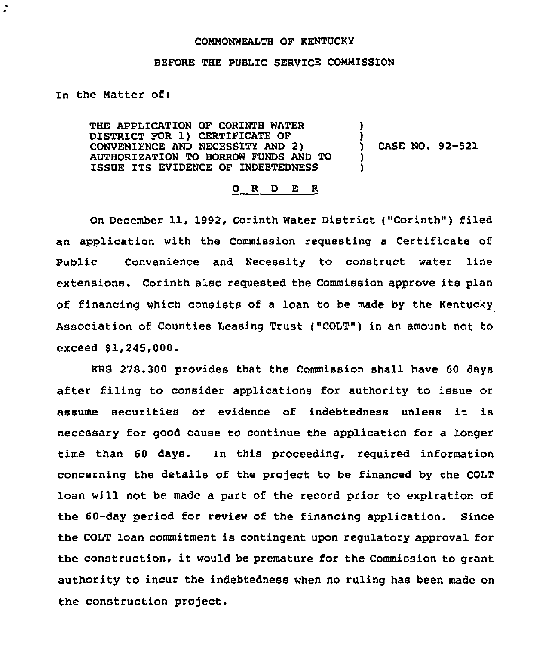## COMMONWEALTH OF KENTUCKY

## BEFORE THE PUBLIC SERVICE COMMISSION

In the Natter of:

THE APPLICATION OF CORINTH WATER DISTRICT FOR 1) CERTIFICATE OF CONVENIENCE AND NECESSITY AND 2) AUTHORIZATION TO BORROW FUNDS AND TO ISSUE ITS EVIDENCE OF INDEBTEDNESS ) ) ) )

CASE NO. 92-521

## 0 R <sup>D</sup> E R

On December 11, 1992, Corinth Water District ("Corinth") filed an application with the Commission requesting a Certificate of Public Convenience and Necessity to construct water line extensions. Corinth also requested the Commission approve its plan of financing which consists of a loan to be made by the Kentucky Association of Counties Leasing Trust ("COLT" ) in an amount not to exceed \$1,245,000.

KRS 278.300 provides that the Commission shall have 60 days after filing to consider applications for authority to issue or assume securities or evidence of indebtedness unless it is necessary for good cause to continue the application for a longer time than 60 days. In this proceeding, required information concerning the details of the project to be financed by the COLT loan will not be made a part of the record prior to expiration of the 60-day period for review of the financing application. Since the COLT loan commitment is contingent upon regulatory approval for the construction, it would be premature for the Commission to grant authority to incur the indebtedness when no ruling has been made on the construction project.